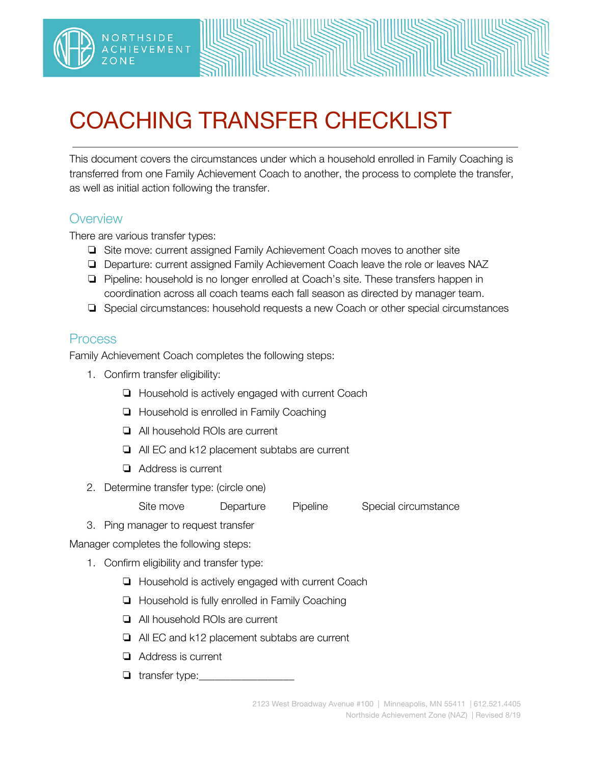

## COACHING TRANSFER CHECKLIST

This document covers the circumstances under which a household enrolled in Family Coaching is transferred from one Family Achievement Coach to another, the process to complete the transfer, as well as initial action following the transfer.

## **Overview**

There are various transfer types:

NORTHSIDE

**HIEVEMENT** 

- ❏ Site move: current assigned Family Achievement Coach moves to another site
- ❏ Departure: current assigned Family Achievement Coach leave the role or leaves NAZ
- ❏ Pipeline: household is no longer enrolled at Coach's site. These transfers happen in coordination across all coach teams each fall season as directed by manager team.
- ❏ Special circumstances: household requests a new Coach or other special circumstances

## Process

Family Achievement Coach completes the following steps:

- 1. Confirm transfer eligibility:
	- ❏ Household is actively engaged with current Coach
	- ❏ Household is enrolled in Family Coaching
	- ❏ All household ROIs are current
	- ❏ All EC and k12 placement subtabs are current
	- ❏ Address is current
- 2. Determine transfer type: (circle one)

Site move Departure Pipeline Special circumstance

3. Ping manager to request transfer

Manager completes the following steps:

- 1. Confirm eligibility and transfer type:
	- ❏ Household is actively engaged with current Coach
	- ❏ Household is fully enrolled in Family Coaching
	- ❏ All household ROIs are current
	- ❏ All EC and k12 placement subtabs are current
	- ❏ Address is current
	- $\Box$  transfer type: